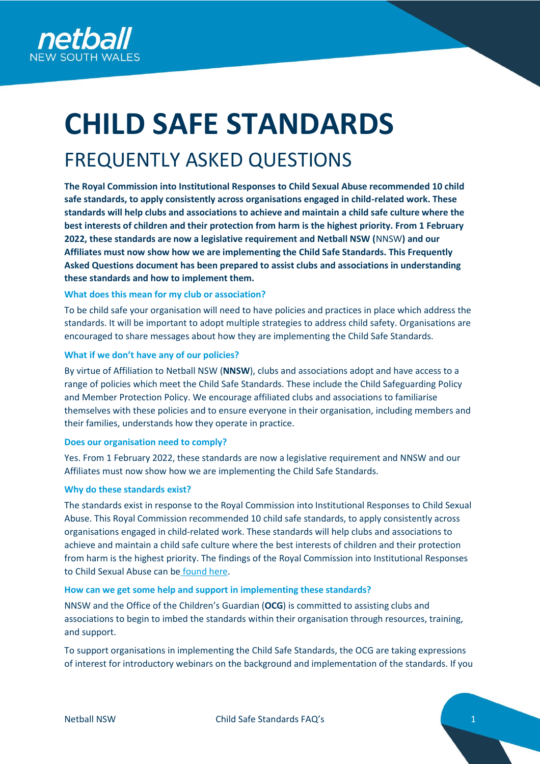

# **CHILD SAFE STANDARDS**

# FREQUENTLY ASKED QUESTIONS

**The Royal Commission into Institutional Responses to Child Sexual Abuse recommended 10 child safe standards, to apply consistently across organisations engaged in child-related work. These standards will help clubs and associations to achieve and maintain a child safe culture where the best interests of children and their protection from harm is the highest priority. From 1 February 2022, these standards are now a legislative requirement and Netball NSW (**NNSW**) and our Affiliates must now show how we are implementing the Child Safe Standards. This Frequently Asked Questions document has been prepared to assist clubs and associations in understanding these standards and how to implement them.** 

# **What does this mean for my club or association?**

To be child safe your organisation will need to have policies and practices in place which address the standards. It will be important to adopt multiple strategies to address child safety. Organisations are encouraged to share messages about how they are implementing the Child Safe Standards.

# **What if we don't have any of our policies?**

By virtue of Affiliation to Netball NSW (**NNSW**), clubs and associations adopt and have access to a range of policies which meet the Child Safe Standards. These include the Child Safeguarding Policy and Member Protection Policy. We encourage affiliated clubs and associations to familiarise themselves with these policies and to ensure everyone in their organisation, including members and their families, understands how they operate in practice.

# **Does our organisation need to comply?**

Yes. From 1 February 2022, these standards are now a legislative requirement and NNSW and our Affiliates must now show how we are implementing the Child Safe Standards.

# **Why do these standards exist?**

The standards exist in response to the Royal Commission into Institutional Responses to Child Sexual Abuse. This Royal Commission recommended 10 child safe standards, to apply consistently across organisations engaged in child-related work. These standards will help clubs and associations to achieve and maintain a child safe culture where the best interests of children and their protection from harm is the highest priority. The findings of the Royal Commission into Institutional Responses to Child Sexual Abuse can be [found here.](https://www.childabuseroyalcommission.gov.au/sites/default/files/final_report_-_volume_6_making_institutions_child_safe.pdf)

# **How can we get some help and support in implementing these standards?**

NNSW and the Office of the Children's Guardian (**OCG**) is committed to assisting clubs and associations to begin to imbed the standards within their organisation through resources, training, and support.

To support organisations in implementing the Child Safe Standards, the OCG are taking expressions of interest for introductory webinars on the background and implementation of the standards. If you

Netball NSW Child Safe Standards FAQ's 1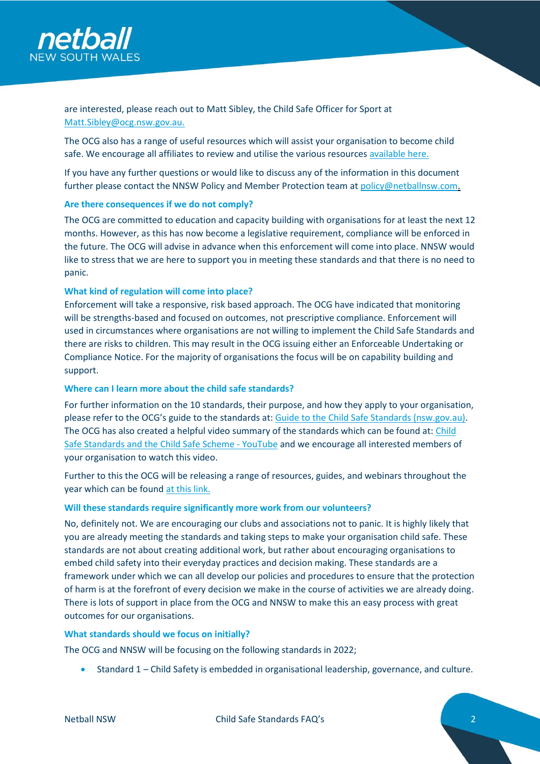

are interested, please reach out to Matt Sibley, the Child Safe Officer for Sport at [Matt.Sibley@ocg.nsw.gov.au.](mailto:Matt.Sibley@ocg.nsw.gov.au)

The OCG also has a range of useful resources which will assist your organisation to become child safe. We encourage all affiliates to review and utilise the various resources [available here.](https://ocg.nsw.gov.au/resources)

If you have any further questions or would like to discuss any of the information in this document further please contact the NNSW Policy and Member Protection team at [policy@netballnsw.com.](mailto:policy@netballnsw.com)

#### **Are there consequences if we do not comply?**

The OCG are committed to education and capacity building with organisations for at least the next 12 months. However, as this has now become a legislative requirement, compliance will be enforced in the future. The OCG will advise in advance when this enforcement will come into place. NNSW would like to stress that we are here to support you in meeting these standards and that there is no need to panic.

#### **What kind of regulation will come into place?**

Enforcement will take a responsive, risk based approach. The OCG have indicated that monitoring will be strengths-based and focused on outcomes, not prescriptive compliance. Enforcement will used in circumstances where organisations are not willing to implement the Child Safe Standards and there are risks to children. This may result in the OCG issuing either an Enforceable Undertaking or Compliance Notice. For the majority of organisations the focus will be on capability building and support.

#### **Where can I learn more about the child safe standards?**

For further information on the 10 standards, their purpose, and how they apply to your organisation, please refer to the OCG's guide to the standards at: [Guide to the Child Safe Standards \(nsw.gov.au\).](https://www.ocg.nsw.gov.au/ArticleDocuments/838/ChildSafeStandardsGuide.pdf.aspx?Embed=Y) The OCG has also created a helpful video summary of the standards which can be found at: Child [Safe Standards and the Child Safe Scheme -](https://www.youtube.com/watch?v=vExwN-u2Abw) YouTube and we encourage all interested members of your organisation to watch this video.

Further to this the OCG will be releasing a range of resources, guides, and webinars throughout the year which can be found [at this link.](https://ocg.nsw.gov.au/child-safe-scheme)

#### **Will these standards require significantly more work from our volunteers?**

No, definitely not. We are encouraging our clubs and associations not to panic. It is highly likely that you are already meeting the standards and taking steps to make your organisation child safe. These standards are not about creating additional work, but rather about encouraging organisations to embed child safety into their everyday practices and decision making. These standards are a framework under which we can all develop our policies and procedures to ensure that the protection of harm is at the forefront of every decision we make in the course of activities we are already doing. There is lots of support in place from the OCG and NNSW to make this an easy process with great outcomes for our organisations.

#### **What standards should we focus on initially?**

The OCG and NNSW will be focusing on the following standards in 2022;

• Standard 1 – Child Safety is embedded in organisational leadership, governance, and culture.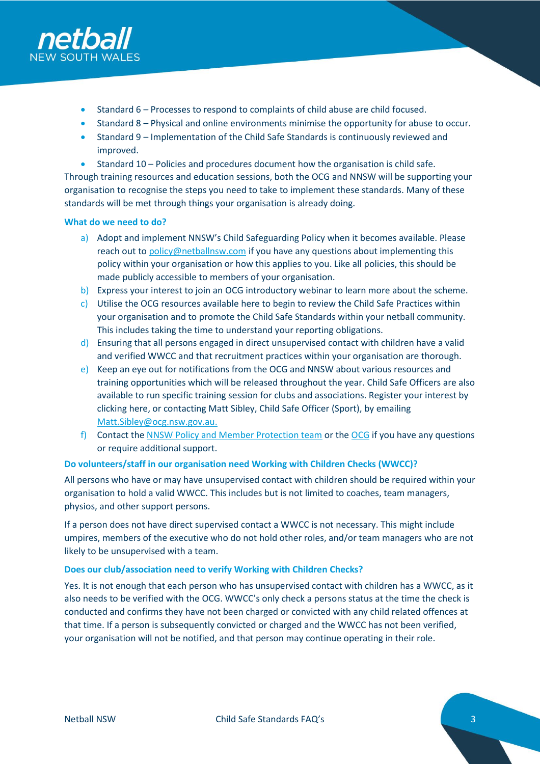

- Standard 6 Processes to respond to complaints of child abuse are child focused.
- Standard 8 Physical and online environments minimise the opportunity for abuse to occur.
- Standard 9 Implementation of the Child Safe Standards is continuously reviewed and improved.
- Standard 10 Policies and procedures document how the organisation is child safe.

Through training resources and education sessions, both the OCG and NNSW will be supporting your organisation to recognise the steps you need to take to implement these standards. Many of these standards will be met through things your organisation is already doing.

# **What do we need to do?**

- a) Adopt and implement NNSW's Child Safeguarding Policy when it becomes available. Please reach out to [policy@netballnsw.com](mailto:policy@netballnsw.com) if you have any questions about implementing this policy within your organisation or how this applies to you. Like all policies, this should be made publicly accessible to members of your organisation.
- b) Express your interest to join an OCG introductory webinar to learn more about the scheme.
- c) Utilise the OCG resource[s available here](https://ocg.nsw.gov.au/resources) to begin to review the Child Safe Practices within your organisation and to promote the Child Safe Standards within your netball community. This includes taking the time to understand your reporting obligations.
- d) Ensuring that all persons engaged in direct unsupervised contact with children have a valid and verified WWCC and that recruitment practices within your organisation are thorough.
- e) Keep an eye out for notifications from the OCG and NNSW about various resources and training opportunities which will be released throughout the year. Child Safe Officers are also available to run specific training session for clubs and associations. Register your interest by [clicking here,](https://forms.office.com/Pages/ResponsePage.aspx?id=aHr5Hqvo7UShbbV5_i182FJYLip7fh1HoEpHmV9vqQ5UQ01EUUk1VzE4OVFXREJWQ0JQQzdKSTRGSy4u) or contacting Matt Sibley, Child Safe Officer (Sport), by emailing [Matt.Sibley@ocg.nsw.gov.au.](mailto:Matt.Sibley@ocg.nsw.gov.au)
- f) Contact th[e NNSW Policy and Member Protection team](mailto:policy@netballnsw.com) or the [OCG](mailto:childsafe@ocg.nsw.gov.au) if you have any questions or require additional support.

# **Do volunteers/staff in our organisation need Working with Children Checks (WWCC)?**

All persons who have or may have unsupervised contact with children should be required within your organisation to hold a valid WWCC. This includes but is not limited to coaches, team managers, physios, and other support persons.

If a person does not have direct supervised contact a WWCC is not necessary. This might include umpires, members of the executive who do not hold other roles, and/or team managers who are not likely to be unsupervised with a team.

# **Does our club/association need to verify Working with Children Checks?**

Yes. It is not enough that each person who has unsupervised contact with children has a WWCC, as it also needs to be verified with the OCG. WWCC's only check a persons status at the time the check is conducted and confirms they have not been charged or convicted with any child related offences at that time. If a person is subsequently convicted or charged and the WWCC has not been verified, your organisation will not be notified, and that person may continue operating in their role.